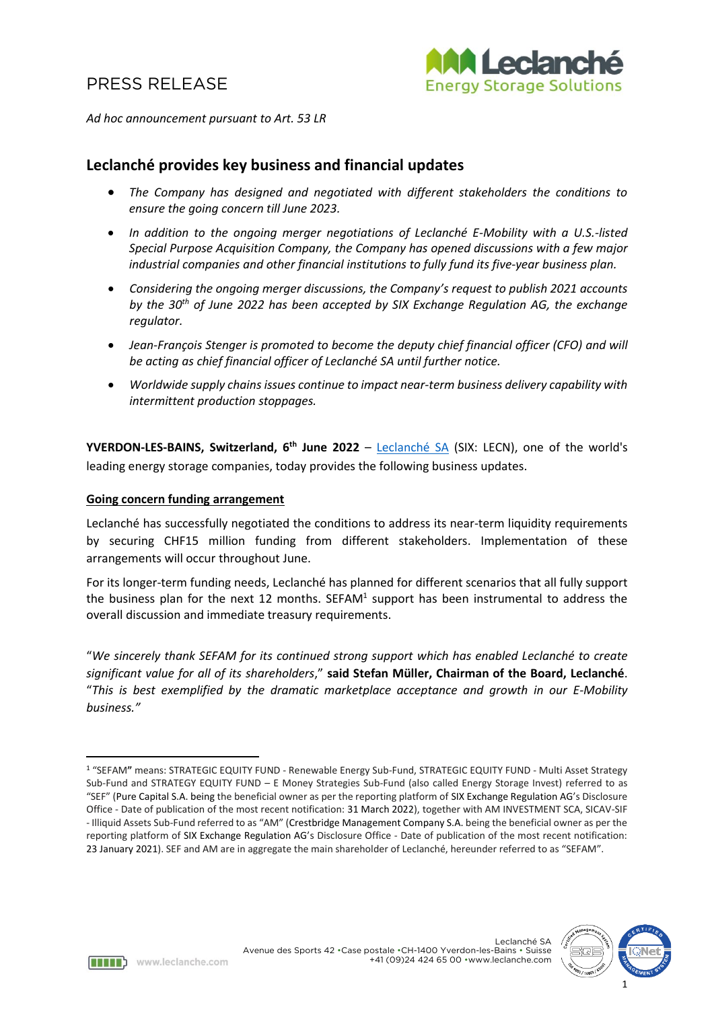

*Ad hoc announcement pursuant to Art. 53 LR*

## **Leclanché provides key business and financial updates**

- *The Company has designed and negotiated with different stakeholders the conditions to ensure the going concern till June 2023.*
- *In addition to the ongoing merger negotiations of Leclanché E-Mobility with a U.S.-listed Special Purpose Acquisition Company, the Company has opened discussions with a few major industrial companies and other financial institutions to fully fund its five-year business plan.*
- *Considering the ongoing merger discussions, the Company's request to publish 2021 accounts by the 30th of June 2022 has been accepted by SIX Exchange Regulation AG, the exchange regulator.*
- *Jean-François Stenger is promoted to become the deputy chief financial officer (CFO) and will be acting as chief financial officer of Leclanché SA until further notice.*
- *Worldwide supply chains issues continue to impact near-term business delivery capability with intermittent production stoppages.*

**YVERDON-LES-BAINS, Switzerland, 6 th June 2022** – [Leclanché](http://www.leclanche.com/) SA (SIX: LECN), one of the world's leading energy storage companies, today provides the following business updates.

### **Going concern funding arrangement**

Leclanché has successfully negotiated the conditions to address its near-term liquidity requirements by securing CHF15 million funding from different stakeholders. Implementation of these arrangements will occur throughout June.

For its longer-term funding needs, Leclanché has planned for different scenarios that all fully support the business plan for the next 12 months.  $SEFAM<sup>1</sup>$  support has been instrumental to address the overall discussion and immediate treasury requirements.

"*We sincerely thank SEFAM for its continued strong support which has enabled Leclanché to create significant value for all of its shareholders*," **said Stefan Müller, Chairman of the Board, Leclanché**. "*This is best exemplified by the dramatic marketplace acceptance and growth in our E-Mobility business."*





<sup>1</sup> "SEFAM**"** means: STRATEGIC EQUITY FUND - Renewable Energy Sub-Fund, STRATEGIC EQUITY FUND - Multi Asset Strategy Sub-Fund and STRATEGY EQUITY FUND – E Money Strategies Sub-Fund (also called Energy Storage Invest) referred to as "SEF" (Pure Capital S.A. being the beneficial owner as per the reporting platform of SIX Exchange Regulation AG's Disclosure Office - Date of publication of the most recent notification: 31 March 2022), together with AM INVESTMENT SCA, SICAV-SIF - Illiquid Assets Sub-Fund referred to as "AM" (Crestbridge Management Company S.A. being the beneficial owner as per the reporting platform of SIX Exchange Regulation AG's Disclosure Office - Date of publication of the most recent notification: 23 January 2021). SEF and AM are in aggregate the main shareholder of Leclanché, hereunder referred to as "SEFAM".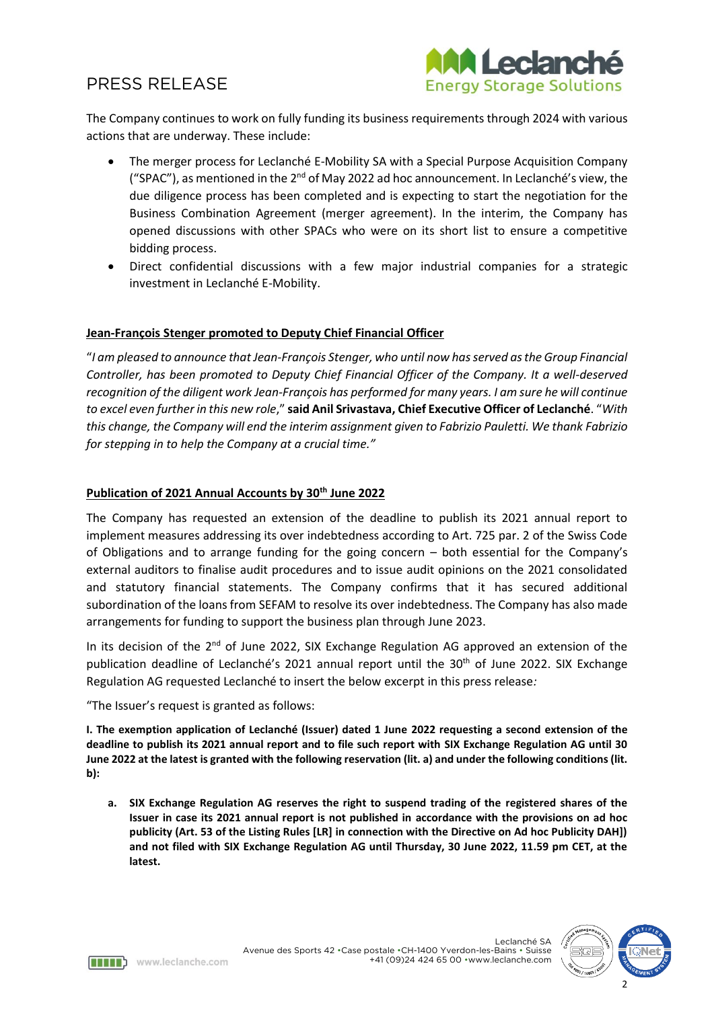# PRESS RELEASE



The Company continues to work on fully funding its business requirements through 2024 with various actions that are underway. These include:

- The merger process for Leclanché E-Mobility SA with a Special Purpose Acquisition Company ("SPAC"), as mentioned in the  $2^{nd}$  of May 2022 ad hoc announcement. In Leclanché's view, the due diligence process has been completed and is expecting to start the negotiation for the Business Combination Agreement (merger agreement). In the interim, the Company has opened discussions with other SPACs who were on its short list to ensure a competitive bidding process.
- Direct confidential discussions with a few major industrial companies for a strategic investment in Leclanché E-Mobility.

### **Jean-François Stenger promoted to Deputy Chief Financial Officer**

"*I am pleased to announce that Jean-François Stenger, who until now has served as the Group Financial Controller, has been promoted to Deputy Chief Financial Officer of the Company. It a well-deserved recognition of the diligent work Jean-François has performed for many years. I am sure he will continue to excel even further in this new role*," **said Anil Srivastava, Chief Executive Officer of Leclanché**. "*With this change, the Company will end the interim assignment given to Fabrizio Pauletti. We thank Fabrizio for stepping in to help the Company at a crucial time."*

## **Publication of 2021 Annual Accounts by 30th June 2022**

The Company has requested an extension of the deadline to publish its 2021 annual report to implement measures addressing its over indebtedness according to Art. 725 par. 2 of the Swiss Code of Obligations and to arrange funding for the going concern – both essential for the Company's external auditors to finalise audit procedures and to issue audit opinions on the 2021 consolidated and statutory financial statements. The Company confirms that it has secured additional subordination of the loans from SEFAM to resolve its over indebtedness. The Company has also made arrangements for funding to support the business plan through June 2023.

In its decision of the 2<sup>nd</sup> of June 2022, SIX Exchange Regulation AG approved an extension of the publication deadline of Leclanché's 2021 annual report until the 30<sup>th</sup> of June 2022. SIX Exchange Regulation AG requested Leclanché to insert the below excerpt in this press release*:*

"The Issuer's request is granted as follows:

**I. The exemption application of Leclanché (Issuer) dated 1 June 2022 requesting a second extension of the deadline to publish its 2021 annual report and to file such report with SIX Exchange Regulation AG until 30 June 2022 at the latest is granted with the following reservation (lit. a) and under the following conditions (lit. b):**

**a. SIX Exchange Regulation AG reserves the right to suspend trading of the registered shares of the Issuer in case its 2021 annual report is not published in accordance with the provisions on ad hoc publicity (Art. 53 of the Listing Rules [LR] in connection with the Directive on Ad hoc Publicity DAH]) and not filed with SIX Exchange Regulation AG until Thursday, 30 June 2022, 11.59 pm CET, at the latest.**



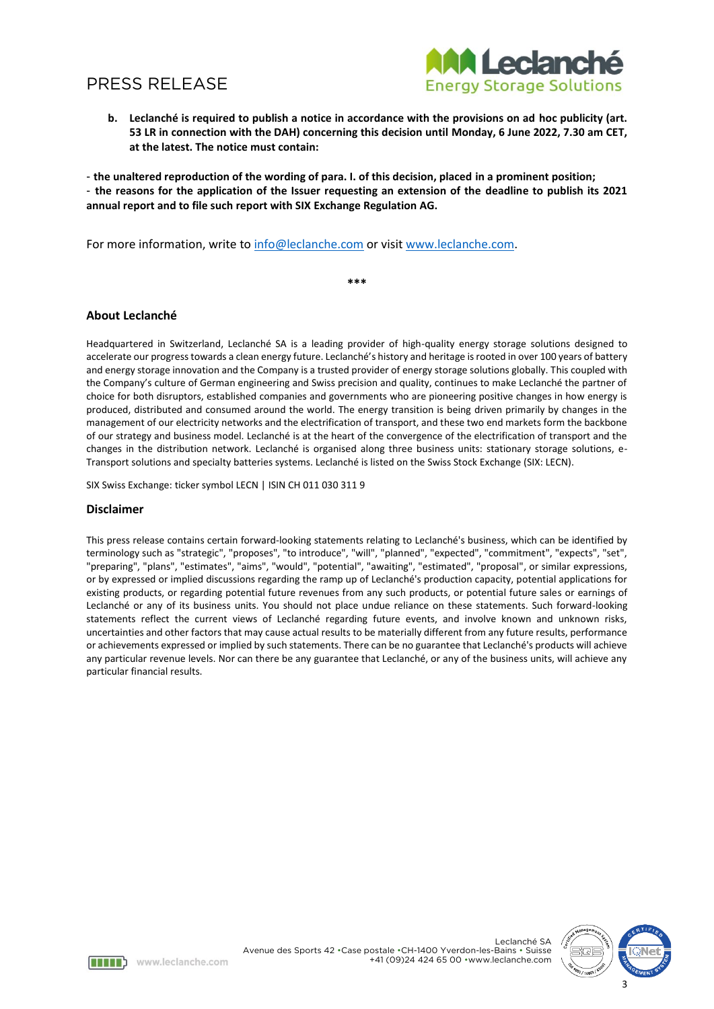## PRESS RELEASE



**b. Leclanché is required to publish a notice in accordance with the provisions on ad hoc publicity (art. 53 LR in connection with the DAH) concerning this decision until Monday, 6 June 2022, 7.30 am CET, at the latest. The notice must contain:**

- **the unaltered reproduction of the wording of para. I. of this decision, placed in a prominent position;** - **the reasons for the application of the Issuer requesting an extension of the deadline to publish its 2021 annual report and to file such report with SIX Exchange Regulation AG.**

**\*\*\***

For more information, write to [info@leclanche.com](mailto:info@leclanche.com) or visit [www.leclanche.com.](http://www.leclanche.com/)

#### **About Leclanché**

Headquartered in Switzerland, Leclanché SA is a leading provider of high-quality energy storage solutions designed to accelerate our progress towards a clean energy future. Leclanché's history and heritage is rooted in over 100 years of battery and energy storage innovation and the Company is a trusted provider of energy storage solutions globally. This coupled with the Company's culture of German engineering and Swiss precision and quality, continues to make Leclanché the partner of choice for both disruptors, established companies and governments who are pioneering positive changes in how energy is produced, distributed and consumed around the world. The energy transition is being driven primarily by changes in the management of our electricity networks and the electrification of transport, and these two end markets form the backbone of our strategy and business model. Leclanché is at the heart of the convergence of the electrification of transport and the changes in the distribution network. Leclanché is organised along three business units: stationary storage solutions, e-Transport solutions and specialty batteries systems. Leclanché is listed on the Swiss Stock Exchange (SIX: LECN).

SIX Swiss Exchange: ticker symbol LECN | ISIN CH 011 030 311 9

#### **Disclaimer**

This press release contains certain forward-looking statements relating to Leclanché's business, which can be identified by terminology such as "strategic", "proposes", "to introduce", "will", "planned", "expected", "commitment", "expects", "set", "preparing", "plans", "estimates", "aims", "would", "potential", "awaiting", "estimated", "proposal", or similar expressions, or by expressed or implied discussions regarding the ramp up of Leclanché's production capacity, potential applications for existing products, or regarding potential future revenues from any such products, or potential future sales or earnings of Leclanché or any of its business units. You should not place undue reliance on these statements. Such forward-looking statements reflect the current views of Leclanché regarding future events, and involve known and unknown risks, uncertainties and other factors that may cause actual results to be materially different from any future results, performance or achievements expressed or implied by such statements. There can be no guarantee that Leclanché's products will achieve any particular revenue levels. Nor can there be any guarantee that Leclanché, or any of the business units, will achieve any particular financial results.